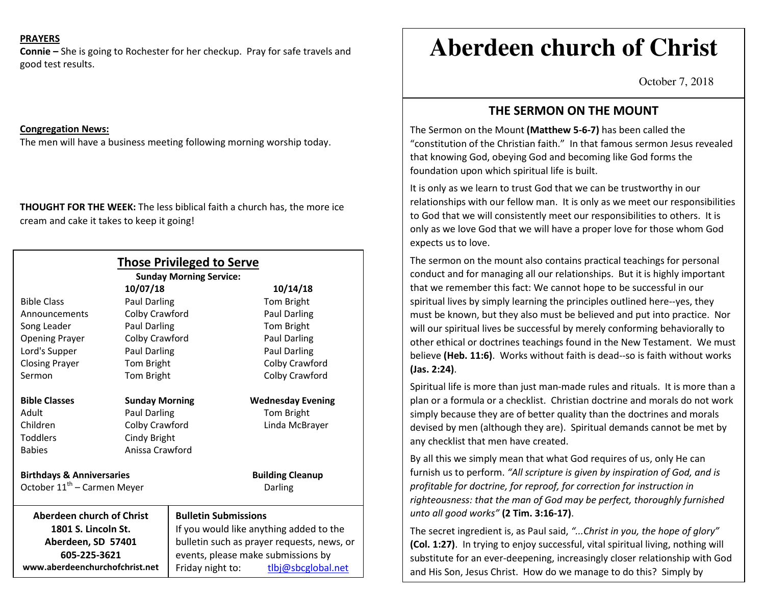### **PRAYERS**

**Connie –** She is going to Rochester for her checkup. Pray for safe travels and good test results.

#### **Congregation News:**

The men will have a business meeting following morning worship today.

**THOUGHT FOR THE WEEK:** The less biblical faith a church has, the more ice cream and cake it takes to keep it going!

| <b>Those Privileged to Serve</b><br><b>Sunday Morning Service:</b> |                       |                                            |                          |
|--------------------------------------------------------------------|-----------------------|--------------------------------------------|--------------------------|
| 10/07/18                                                           |                       |                                            | 10/14/18                 |
| <b>Bible Class</b>                                                 | <b>Paul Darling</b>   |                                            | Tom Bright               |
| Announcements                                                      | Colby Crawford        |                                            | Paul Darling             |
| Song Leader                                                        | Paul Darling          |                                            | Tom Bright               |
| <b>Opening Prayer</b>                                              | Colby Crawford        |                                            | Paul Darling             |
| Lord's Supper                                                      | Paul Darling          |                                            | <b>Paul Darling</b>      |
| <b>Closing Prayer</b>                                              | Tom Bright            |                                            | Colby Crawford           |
| Sermon                                                             | Tom Bright            |                                            | Colby Crawford           |
| <b>Bible Classes</b>                                               | <b>Sunday Morning</b> |                                            | <b>Wednesday Evening</b> |
| Adult                                                              | <b>Paul Darling</b>   |                                            | Tom Bright               |
| Children                                                           | Colby Crawford        |                                            | Linda McBrayer           |
| <b>Toddlers</b>                                                    | Cindy Bright          |                                            |                          |
| <b>Babies</b>                                                      | Anissa Crawford       |                                            |                          |
| <b>Birthdays &amp; Anniversaries</b>                               |                       |                                            | <b>Building Cleanup</b>  |
| October 11 <sup>th</sup> – Carmen Meyer                            |                       |                                            | Darling                  |
| <b>Aberdeen church of Christ</b>                                   |                       | <b>Bulletin Submissions</b>                |                          |
| 1801 S. Lincoln St.                                                |                       | If you would like anything added to the    |                          |
| Aberdeen, SD 57401                                                 |                       | bulletin such as prayer requests, news, or |                          |
| 605-225-3621                                                       |                       | events, please make submissions by         |                          |
| www.aberdeenchurchofchrist.net                                     |                       | Friday night to:                           | tlbj@sbcglobal.net       |

# **Aberdeen church of Christ**

October 7, 2018

# **THE SERMON ON THE MOUNT**

The Sermon on the Mount **(Matthew 5-6-7)** has been called the "constitution of the Christian faith." In that famous sermon Jesus revealed that knowing God, obeying God and becoming like God forms the foundation upon which spiritual life is built.

It is only as we learn to trust God that we can be trustworthy in our relationships with our fellow man. It is only as we meet our responsibilities to God that we will consistently meet our responsibilities to others. It is only as we love God that we will have a proper love for those whom God expects us to love.

The sermon on the mount also contains practical teachings for personal conduct and for managing all our relationships. But it is highly important that we remember this fact: We cannot hope to be successful in our spiritual lives by simply learning the principles outlined here--yes, they must be known, but they also must be believed and put into practice. Nor will our spiritual lives be successful by merely conforming behaviorally to other ethical or doctrines teachings found in the New Testament. We must believe **(Heb. 11:6)**. Works without faith is dead--so is faith without works **(Jas. 2:24)**.

Spiritual life is more than just man-made rules and rituals. It is more than a plan or a formula or a checklist. Christian doctrine and morals do not work simply because they are of better quality than the doctrines and morals devised by men (although they are). Spiritual demands cannot be met by any checklist that men have created.

By all this we simply mean that what God requires of us, only He can furnish us to perform. *"All scripture is given by inspiration of God, and is profitable for doctrine, for reproof, for correction for instruction in righteousness: that the man of God may be perfect, thoroughly furnished unto all good works"* **(2 Tim. 3:16-17)**.

The secret ingredient is, as Paul said, *"...Christ in you, the hope of glory"* **(Col. 1:27)**. In trying to enjoy successful, vital spiritual living, nothing will substitute for an ever-deepening, increasingly closer relationship with God and His Son, Jesus Christ. How do we manage to do this? Simply by